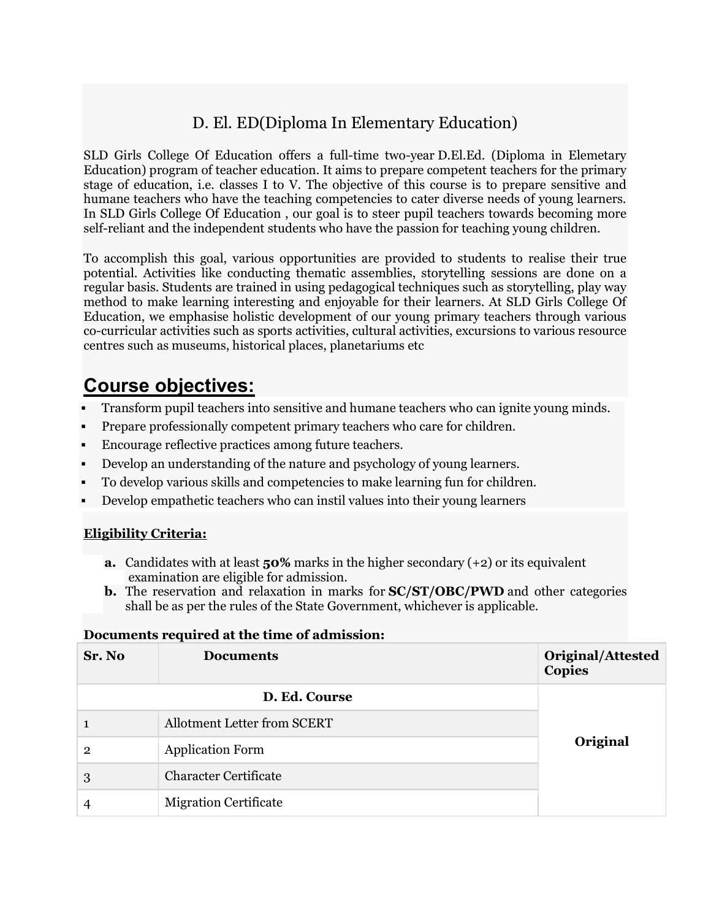## D. El. ED(Diploma In Elementary Education)

SLD Girls College Of Education offers a full-time two-year D.El.Ed. (Diploma in Elemetary Education) program of teacher education. It aims to prepare competent teachers for the primary stage of education, i.e. classes I to V. The objective of this course is to prepare sensitive and humane teachers who have the teaching competencies to cater diverse needs of young learners. In SLD Girls College Of Education , our goal is to steer pupil teachers towards becoming more self-reliant and the independent students who have the passion for teaching young children.

To accomplish this goal, various opportunities are provided to students to realise their true potential. Activities like conducting thematic assemblies, storytelling sessions are done on a regular basis. Students are trained in using pedagogical techniques such as storytelling, play way method to make learning interesting and enjoyable for their learners. At SLD Girls College Of Education, we emphasise holistic development of our young primary teachers through various co-curricular activities such as sports activities, cultural activities, excursions to various resource centres such as museums, historical places, planetariums etc

## Course objectives:

- Transform pupil teachers into sensitive and humane teachers who can ignite young minds.
- Prepare professionally competent primary teachers who care for children.
- Encourage reflective practices among future teachers.
- Develop an understanding of the nature and psychology of young learners.
- To develop various skills and competencies to make learning fun for children.
- Develop empathetic teachers who can instil values into their young learners

## Eligibility Criteria:

- **a.** Candidates with at least  $50\%$  marks in the higher secondary  $(+2)$  or its equivalent examination are eligible for admission.
- **b.** The reservation and relaxation in marks for **SC/ST/OBC/PWD** and other categories shall be as per the rules of the State Government, whichever is applicable.

## Documents required at the time of admission:

| Sr. No        | <b>Documents</b>                   | <b>Original/Attested</b><br><b>Copies</b> |
|---------------|------------------------------------|-------------------------------------------|
| D. Ed. Course |                                    |                                           |
| 1             | <b>Allotment Letter from SCERT</b> |                                           |
| 2             | <b>Application Form</b>            | Original                                  |
| 3             | <b>Character Certificate</b>       |                                           |
| 4             | <b>Migration Certificate</b>       |                                           |